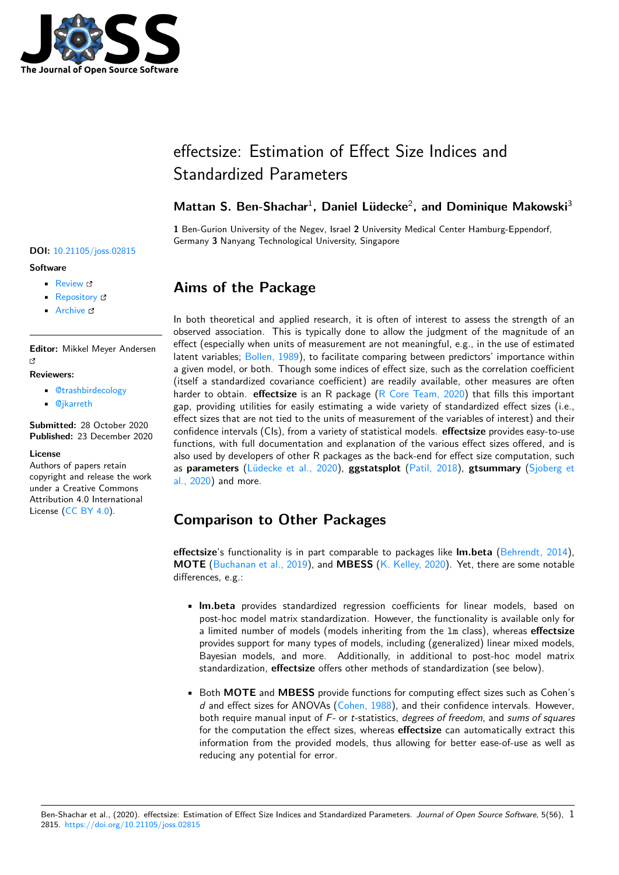

# effectsize: Estimation of Effect Size Indices and Standardized Parameters

### Mattan S. Ben-Shachar<sup>1</sup>, Daniel Lüdecke<sup>2</sup>, and Dominique Makowski<sup>3</sup>

**1** Ben-Gurion University of the Negev, Israel **2** University Medical Center Hamburg-Eppendorf, Germany **3** Nanyang Technological University, Singapore

# **Aims of the Package**

In both theoretical and applied research, it is often of interest to assess the strength of an observed association. This is typically done to allow the judgment of the magnitude of an effect (especially when units of measurement are not meaningful, e.g., in the use of estimated latent variables; Bollen, 1989), to facilitate comparing between predictors' importance within a given model, or both. Though some indices of effect size, such as the correlation coefficient (itself a standardized covariance coefficient) are readily available, other measures are often harder to obtain. **effectsize** is an R package (R Core Team, 2020) that fills this important gap, providing u[tilities for ea](#page-5-0)sily estimating a wide variety of standardized effect sizes (i.e., effect sizes that are not tied to the units of measurement of the variables of interest) and their confidence intervals (CIs), from a variety of statistical models. **effectsize** provides easy-to-use functions, with full documentation and explan[ation of the various e](#page-6-0)ffect sizes offered, and is also used by developers of other R packages as the back-end for effect size computation, such as **parameters** (Lüdecke et al., 2020), **ggstatsplot** (Patil, 2018), **gtsummary** (Sjoberg et al., 2020) and more.

# **[Comp](#page-6-2)ariso[n to Other Pa](#page-6-1)ckages**

**effectsize**'s functionality is in part comparable to packages like **lm.beta** (Behrendt, 2014), **MOTE** (Buchanan et al., 2019), and **MBESS** (K. Kelley, 2020). Yet, there are some notable differences, e.g.:

- **lm.beta** provides standardized regression coefficients for linear [models, based o](#page-5-1)n po[st-hoc model matrix st](#page-5-2)andardization. [However, the fun](#page-5-3)ctionality is available only for a limited number of models (models inheriting from the lm class), whereas **effectsize** provides support for many types of models, including (generalized) linear mixed models, Bayesian models, and more. Additionally, in additional to post-hoc model matrix standardization, **effectsize** offers other methods of standardization (see below).
- Both **MOTE** and **MBESS** provide functions for computing effect sizes such as Cohen's *d* and effect sizes for ANOVAs (Cohen, 1988), and their confidence intervals. However, both require manual input of *F*- or *t*-statistics, *degrees of freedom*, and *sums of squares* for the computation the effect sizes, whereas **effectsize** can automatically extract this information from the provided models, thus allowing for better ease-of-use as well as reducing any potential for error.

#### **DOI:** 10.21105/joss.02815

#### **Software**

- Review &
- [Repository](https://doi.org/10.21105/joss.02815) &
- Archive

**Editor:** [Mikkel M](https://github.com/easystats/effectsize)eyer Andersen r4

#### **Reviewers:**

- @trashbirdecology
- @jkarreth

**Submitted:** 28 October 2020 **Published:** [23 Decembe](https://github.com/trashbirdecology)r 2020

#### **License**

Autho[rs of pape](https://github.com/jkarreth)rs retain copyright and release the work under a Creative Commons Attribution 4.0 International License (CC BY 4.0).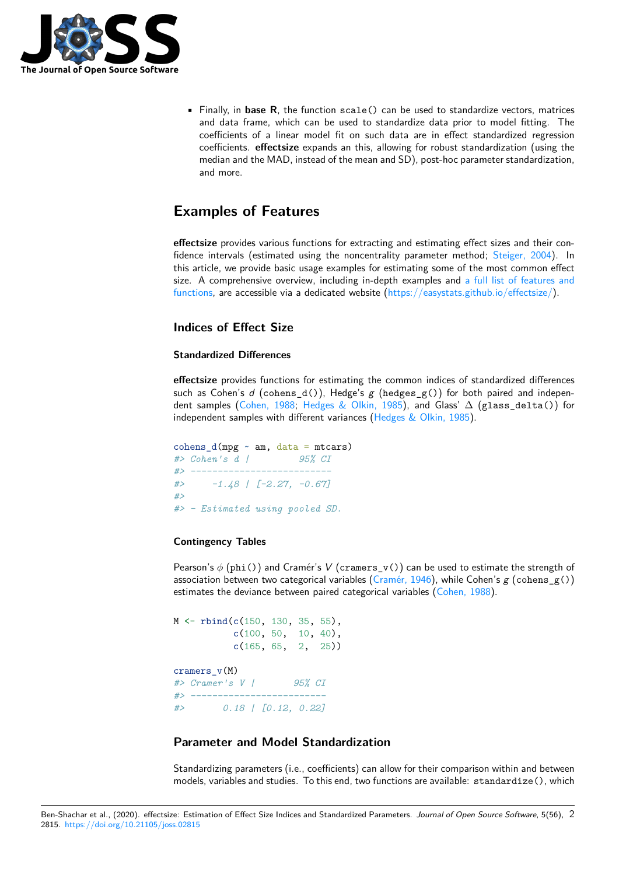

• Finally, in **base R**, the function scale() can be used to standardize vectors, matrices and data frame, which can be used to standardize data prior to model fitting. The coefficients of a linear model fit on such data are in effect standardized regression coefficients. **effectsize** expands an this, allowing for robust standardization (using the median and the MAD, instead of the mean and SD), post-hoc parameter standardization, and more.

# **Examples of Features**

**effectsize** provides various functions for extracting and estimating effect sizes and their confidence intervals (estimated using the noncentrality parameter method; Steiger, 2004). In this article, we provide basic usage examples for estimating some of the most common effect size. A comprehensive overview, including in-depth examples and a full list of features and functions, are accessible via a dedicated website (https://easystats.github.io/effectsize/).

#### **Indices of Effect Size**

#### **[Standard](https://easystats.github.io/effectsize/reference/index.html)ized Differences**

**effectsize** provides functions for estimating the common indices of standardized differences such as Cohen's *d* (cohens\_d()), Hedge's *g* (hedges\_g()) for both paired and independent samples (Cohen, 1988; Hedges & Olkin, 1985), and Glass' ∆ (glass\_delta()) for independent samples with different variances (Hedges  $&$  Olkin, 1985).

cohens\_d(mpg  $\sim$  am, data = mtcars) *#> Cohen's d [|](#page-5-4) [95% CI](#page-5-5) #> -------------------------- #> -1.48 | [-2.27, -0.67] #> #> - Estimated using pooled SD.*

#### **Contingency Tables**

Pearson's *ϕ* (phi()) and Cramér's *V* (cramers\_v()) can be used to estimate the strength of association between two categorical variables (Cramér, 1946), while Cohen's *g* (cohens\_g()) estimates the deviance between paired categorical variables (Cohen, 1988).

M <- rbind(c(150, 130, 35, 55), c(100, 50, 10, 40), c(165, 65, 2, 25)) cramers\_v(M) *#> Cramer's V | 95% CI #> ------------------------- #> 0.18 | [0.12, 0.22]*

#### **Parameter and Model Standardization**

Standardizing parameters (i.e., coefficients) can allow for their comparison within and between models, variables and studies. To this end, two functions are available: standardize(), which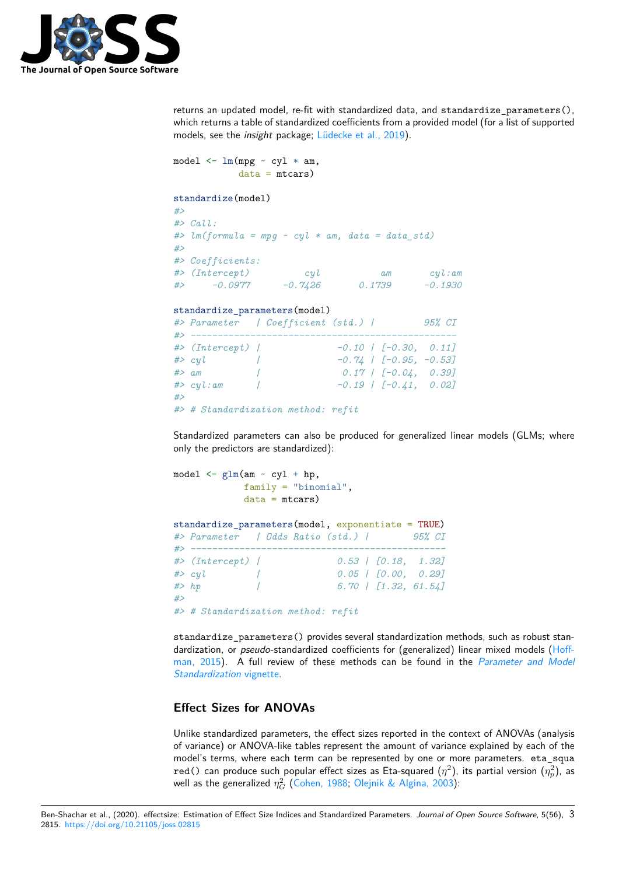

returns an updated model, re-fit with standardized data, and standardize\_parameters(), which returns a table of standardized coefficients from a provided model (for a list of supported models, see the *insight* package; Lüdecke et al., 2019).

```
model \leq \ln(mpg \sim cy1 * am,data = mtcars)standardize(model)
#>
#> Call:
#> lm(formula = mpg ~ cyl * am, data = data_std)
#>
#> Coefficients:
#> (Intercept) cyl am cyl:am
#> -0.0977 -0.7426 0.1739 -0.1930
standardize_parameters(model)
#> Parameter | Coefficient (std.) | 95% CI
#> -------------------------------------------------
#> (Intercept) | -0.10 | [-0.30, 0.11]
#> cyl | -0.74 | [-0.95, -0.53]
#> am | 0.17 | [-0.04, 0.39]
#> cyl:am | -0.19 | [-0.41, 0.02]
#>
#> # Standardization method: refit
```
Standardized parameters can also be produced for generalized linear models (GLMs; where only the predictors are standardized):

```
model \leq glm(am \leq cyl + hp,family = "binomial",
            data = mtcars)standardize_parameters(model, exponentiate = TRUE)
#> Parameter | Odds Ratio (std.) | 95% CI
#> -----------------------------------------------
#> (Intercept) | 0.53 | [0.18, 1.32]
#> cyl | 0.05 | [0.00, 0.29]
#> hp | 6.70 | [1.32, 61.54]
#>
#> # Standardization method: refit
```
standardize\_parameters() provides several standardization methods, such as robust standardization, or *pseudo*-standardized coefficients for (generalized) linear mixed models (Hoffman, 2015). A full review of these methods can be found in the *Parameter and Model Standardization* vignette.

#### **[Effect Si](#page-5-6)zes for ANOVAs**

[Unlike standardized para](https://easystats.github.io/effectsize/articles/standardize_parameters.html)meters, the effect sizes reported in the context of ANOVAs (analysis of variance) or ANOVA-like tables represent the amount of variance explained by each of the model's terms, where each term can be represented by one or more parameters. eta\_squa red() can produce such popular effect sizes as Eta-squared  $(\eta^2)$ , its partial version  $(\eta_p^2)$ , as well as the generalized  $\eta_G^2$  (Cohen, 1988; Olejnik & Algina, 2003):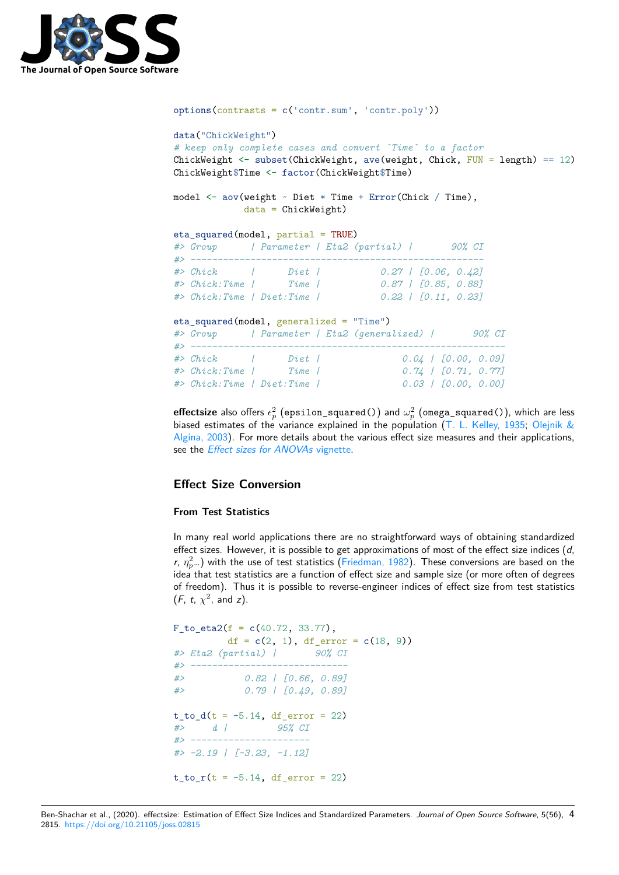

```
options(contrasts = c('contr.sum', 'contr.poly'))
data("ChickWeight")
# keep only complete cases and convert `Time` to a factor
ChickWeight \leq subset(ChickWeight, ave(weight, Chick, FUN = length) == 12)
ChickWeight$Time <- factor(ChickWeight$Time)
model <- aov(weight ~ Diet * Time + Error(Chick / Time),
           data = ChickWeight)
eta_squared(model, partial = TRUE)
#> Group | Parameter | Eta2 (partial) | 90% CI
#> ------------------------------------------------------
#> Chick | Diet | 0.27 | [0.06, 0.42]
#> Chick:Time | Time | 0.87 | [0.85, 0.88]
#> Chick:Time | Diet:Time | 0.22 | [0.11, 0.23]
eta_squared(model, generalized = "Time")
#> Group | Parameter | Eta2 (generalized) | 90% CI
#> ----------------------------------------------------------
#> Chick | Diet | 0.04 | [0.00, 0.09]
#> Chick:Time | Time | 0.74 | [0.71, 0.77]
#> Chick:Time | Diet:Time | 0.03 | [0.00, 0.00]
```
 $\mathsf{effects}$  also offers  $\epsilon_p^2$  (epsilon\_squared()) and  $\omega_p^2$  (omega\_squared()), which are less biased estimates of the variance explained in the population (T. L. Kelley, 1935; Olejnik & Algina, 2003). For more details about the various effect size measures and their applications, see the *Effect sizes for ANOVAs* vignette.

#### **[Effect Siz](#page-6-3)e Conversion**

#### **From [Test Statistics](https://easystats.github.io/effectsize/articles/anovaES.html)**

In many real world applications there are no straightforward ways of obtaining standardized effect sizes. However, it is possible to get approximations of most of the effect size indices (*d*, *r*,  $\eta_p^2$ …) with the use of test statistics (Friedman, 1982). These conversions are based on the idea that test statistics are a function of effect size and sample size (or more often of degrees of freedom). Thus it is possible to reverse-engineer indices of effect size from test statistics  $(F, t, \chi^2, \text{ and } z).$ 

```
F_to_eta2(f = c(40.72, 33.77),
    df = c(2, 1), df_error = c(18, 9)#> Eta2 (partial) | 90% CI
#> -----------------------------
#> 0.82 | [0.66, 0.89]
#> 0.79 | [0.49, 0.89]
t_to_d(t = -5.14, df_error = 22)#> d | 95% CI
#> ----------------------
#> -2.19 | [-3.23, -1.12]
t_to_r(t = -5.14, df_error = 22)
```
Ben-Shachar et al., (2020). effectsize: Estimation of Effect Size Indices and Standardized Parameters. *Journal of Open Source Software*, 5(56), 42815. https://doi.org/10.21105/joss.02815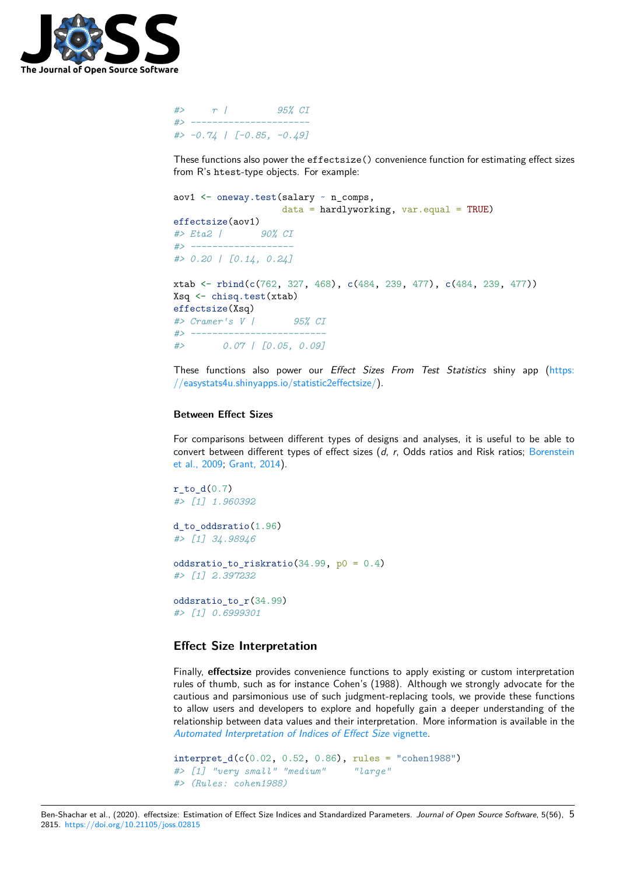

```
#> r | 95% CI
#> ----------------------
#> -0.74 | [-0.85, -0.49]
```
These functions also power the effectsize() convenience function for estimating effect sizes from R's htest-type objects. For example:

```
aov1 \leq oneway.test(salary \sim n comps,
                   data = hardlyworking, var.equals = TRUE)effectsize(aov1)
#> Eta2 | 90% CI
#> -------------------
#> 0.20 | [0.14, 0.24]
xtab <- rbind(c(762, 327, 468), c(484, 239, 477), c(484, 239, 477))
Xsq <- chisq.test(xtab)
effectsize(Xsq)
#> Cramer's V | 95% CI
#> -------------------------
#> 0.07 | [0.05, 0.09]
```
These functions also power our *Effect Sizes From Test Statistics* shiny app (https: //easystats4u.shinyapps.io/statistic2effectsize/).

#### **Between Effect Sizes**

[For comparisons between different types of de](https://easystats4u.shinyapps.io/statistic2effectsize/)signs and analyses, it is useful to be able to convert between different types of effect sizes (*d*, *r*, Odds ratios and Risk ratios; Borenstein et al., 2009; Grant, 2014).

 $r_to_d(0.7)$ *#> [1] 1.960392* d to oddsr[atio\(1.96\)](#page-5-8)

*#> [1] 34.98946*

```
oddsratio_to_riskratio(34.99, p0 = 0.4)
#> [1] 2.397232
```

```
oddsratio_to_r(34.99)
#> [1] 0.6999301
```
#### **Effect Size Interpretation**

Finally, **effectsize** provides convenience functions to apply existing or custom interpretation rules of thumb, such as for instance Cohen's (1988). Although we strongly advocate for the cautious and parsimonious use of such judgment-replacing tools, we provide these functions to allow users and developers to explore and hopefully gain a deeper understanding of the relationship between data values and their interpretation. More information is available in the *Automated Interpretation of Indices of Effect Size* vignette.

```
interpret_d(c(0.02, 0.52, 0.86), rules = "cohen1988")
#> [1] "very small" "medium" "large"
#> (Rules: cohen1988)
```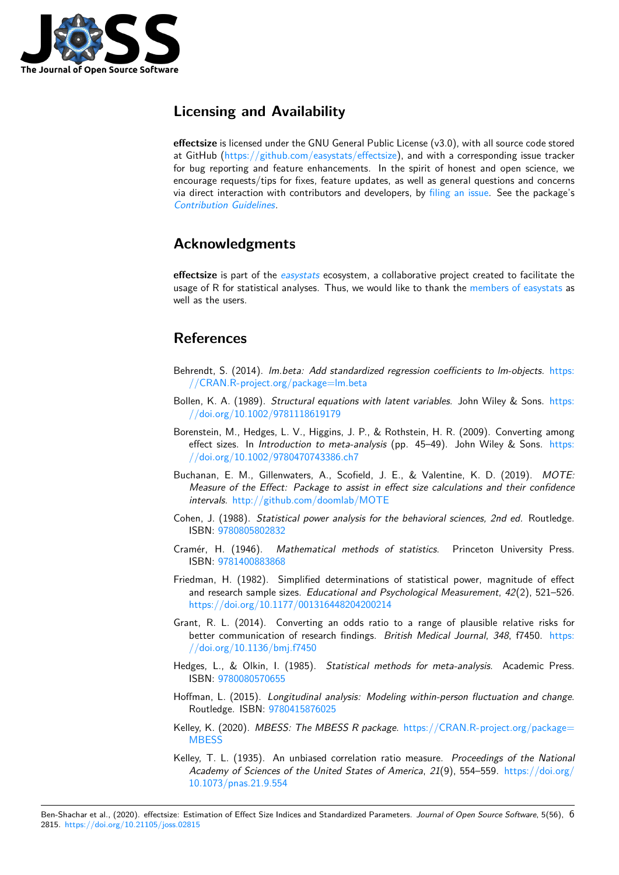

## **Licensing and Availability**

**effectsize** is licensed under the GNU General Public License (v3.0), with all source code stored at GitHub (https://github.com/easystats/effectsize), and with a corresponding issue tracker for bug reporting and feature enhancements. In the spirit of honest and open science, we encourage requests/tips for fixes, feature updates, as well as general questions and concerns via direct interaction with contributors and developers, by filing an issue. See the package's *Contributio[n Guidelines](https://github.com/easystats/effectsize)*.

## **[Acknowledgme](https://github.com/easystats/effectsize/blob/main/.github/CONTRIBUTING.md)nts**

**effectsize** is part of the *easystats* ecosystem, a collaborative project created to facilitate the usage of R for statistical analyses. Thus, we would like to thank the members of easystats as well as the users.

### **References**

- Behrendt, S. (2014). *lm.beta: Add standardized regression coefficients to lm-objects*. https: //CRAN.R-project.org/package=lm.beta
- <span id="page-5-1"></span>Bollen, K. A. (1989). *Structural equations with latent variables*. John Wiley & Sons. https: //doi.org/10.1002/9781118619179
- Bor[enstein, M., Hedges, L. V., Higgins, J. P.](https://CRAN.R-project.org/package=lm.beta), & Rothstein, H. R. (2009). Converting [among](https://CRAN.R-project.org/package=lm.beta) effect sizes. In *Introduction to meta-analysis* (pp. 45–49). John Wiley & Sons. [https:](https://doi.org/10.1002/9781118619179) [//doi.org/10.1002/9780470743386.](https://doi.org/10.1002/9781118619179)ch7
- <span id="page-5-7"></span><span id="page-5-0"></span>Buchanan, E. M., Gillenwaters, A., Scofield, J. E., & Valentine, K. D. (2019). *MOTE: Measure of the Effect: Package to assist in effect size calculations and their con[fidence](https://doi.org/10.1002/9780470743386.ch7) intervals*. [http://github.com/doomlab/](https://doi.org/10.1002/9780470743386.ch7)MOTE
- Cohen, J. (1988). *Statistical power analysis for the behavioral sciences, 2nd ed.* Routledge. ISBN: 9780805802832
- <span id="page-5-2"></span>Cramér, H. (1946). *[Mathematical methods o](http://github.com/doomlab/MOTE)f statistics*. Princeton University Press. ISBN: 9781400883868
- <span id="page-5-4"></span>Friedman, [H. \(1982\). Si](https://worldcat.org/isbn/9780805802832)mplified determinations of statistical power, magnitude of effect and research sample sizes. *Educational and Psychological Measurement*, *42*(2), 521–526. https:[//doi.org/10.117](https://worldcat.org/isbn/9781400883868)7/001316448204200214
- Grant, R. L. (2014). Converting an odds ratio to a range of plausible relative risks for better communication of research findings. *British Medical Journal*, *348*, f7450. https: [//doi.org/10.1136/bmj.f7450](https://doi.org/10.1177/001316448204200214)
- Hedges, L., & Olkin, I. (1985). *Statistical methods for meta-analysis*. Academic Press. ISBN: 9780080570655
- <span id="page-5-8"></span>Ho[ffman, L. \(2015\).](https://doi.org/10.1136/bmj.f7450) *Longitudinal analysis: Modeling within-person fluctuation and c[hange](https://doi.org/10.1136/bmj.f7450)*. Routledge. ISBN: 9780415876025
- <span id="page-5-5"></span>Kelley, K. [\(2020\).](https://worldcat.org/isbn/9780080570655) *MBESS: The MBESS R package*. https://CRAN.R-project.org/package= **MBESS**
- <span id="page-5-6"></span><span id="page-5-3"></span>Kelley, T. L. (1935). [An unbiased c](https://worldcat.org/isbn/9780415876025)orrelation ratio measure. *Proceedings of the National Academy of Sciences of the United States of America*, *21*(9), 554–559. [https://doi.org/](https://CRAN.R-project.org/package=MBESS) [10.1073](https://CRAN.R-project.org/package=MBESS)/pnas.21.9.554